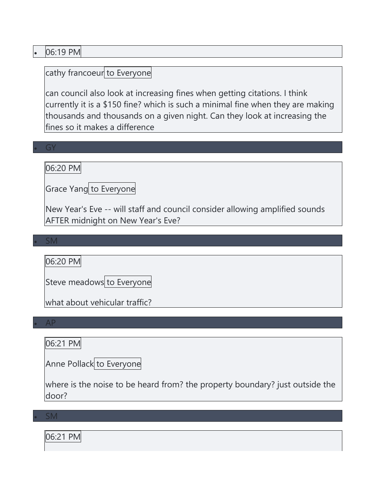### • 06:19 PM

# cathy francoeur to Everyone

can council also look at increasing fines when getting citations. I think currently it is a \$150 fine? which is such a minimal fine when they are making thousands and thousands on a given night. Can they look at increasing the fines so it makes a difference

#### • GY

06:20 PM

Grace Yang to Everyone

New Year's Eve -- will staff and council consider allowing amplified sounds AFTER midnight on New Year's Eve?

• SM

06:20 PM

Steve meadows to Everyone

what about vehicular traffic?

• AP

### 06:21 PM

Anne Pollack to Everyone

where is the noise to be heard from? the property boundary? just outside the door?

• SM

06:21 PM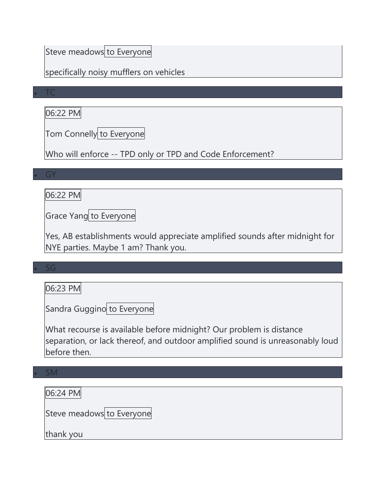# Steve meadows to Everyone

### specifically noisy mufflers on vehicles

#### • TC

# 06:22 PM

Tom Connelly to Everyone

Who will enforce -- TPD only or TPD and Code Enforcement?

#### • GY

### 06:22 PM

Grace Yang to Everyone

Yes, AB establishments would appreciate amplified sounds after midnight for NYE parties. Maybe 1 am? Thank you.

#### $\varsigma$ G

### 06:23 PM

Sandra Guggino to Everyone

What recourse is available before midnight? Our problem is distance separation, or lack thereof, and outdoor amplified sound is unreasonably loud before then.

# • SM 06:24 PM Steve meadows to Everyone thank you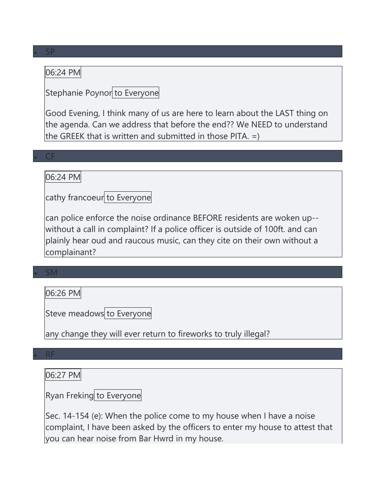### 06:24 PM

## Stephanie Poynor to Everyone

Good Evening, I think many of us are here to learn about the LAST thing on the agenda. Can we address that before the end?? We NEED to understand the GREEK that is written and submitted in those PITA. =)

#### • CF

### 06:24 PM

cathy francoeur to Everyone

can police enforce the noise ordinance BEFORE residents are woken up- without a call in complaint? If a police officer is outside of 100ft. and can plainly hear oud and raucous music, can they cite on their own without a complainant?

#### • SM

06:26 PM

Steve meadows to Everyone

any change they will ever return to fireworks to truly illegal?

#### • RF

#### 06:27 PM

Ryan Freking to Everyone

Sec. 14-154 (e): When the police come to my house when I have a noise complaint, I have been asked by the officers to enter my house to attest that you can hear noise from Bar Hwrd in my house.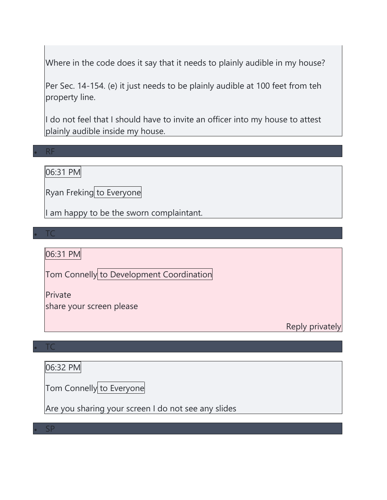Where in the code does it say that it needs to plainly audible in my house?

Per Sec. 14-154. (e) it just needs to be plainly audible at 100 feet from teh property line.

I do not feel that I should have to invite an officer into my house to attest plainly audible inside my house.

• RF

06:31 PM

Ryan Freking to Everyone

I am happy to be the sworn complaintant.

• TC

06:31 PM

Tom Connelly to Development Coordination

Private

share your screen please

Reply privately

• TC

06:32 PM

Tom Connelly to Everyone

Are you sharing your screen I do not see any slides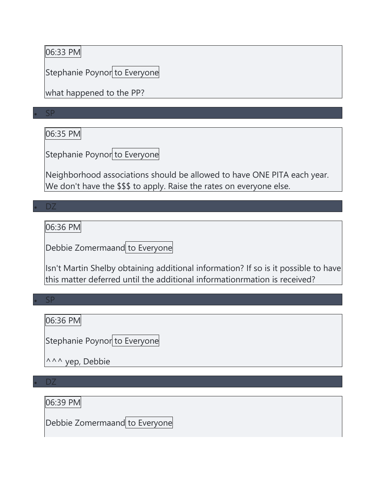# 06:33 PM

Stephanie Poynor to Everyone

what happened to the PP?

• SP

06:35 PM

Stephanie Poynor to Everyone

Neighborhood associations should be allowed to have ONE PITA each year. We don't have the \$\$\$ to apply. Raise the rates on everyone else.

• DZ

06:36 PM

Debbie Zomermaand to Everyone

Isn't Martin Shelby obtaining additional information? If so is it possible to have this matter deferred until the additional informationrmation is received?

• SP

06:36 PM

Stephanie Poynor to Everyone

^^^ yep, Debbie

• DZ

06:39 PM

Debbie Zomermaand to Everyone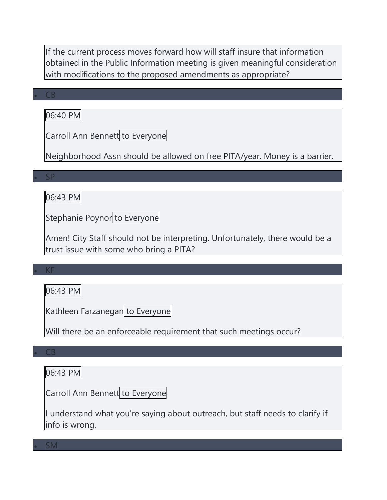If the current process moves forward how will staff insure that information obtained in the Public Information meeting is given meaningful consideration with modifications to the proposed amendments as appropriate?

#### • CB

06:40 PM

Carroll Ann Bennett to Everyone

Neighborhood Assn should be allowed on free PITA/year. Money is a barrier.

• SP

# 06:43 PM

Stephanie Poynor to Everyone

Amen! City Staff should not be interpreting. Unfortunately, there would be a trust issue with some who bring a PITA?

#### • KF

06:43 PM

Kathleen Farzanegan to Everyone

Will there be an enforceable requirement that such meetings occur?

• CB

06:43 PM

Carroll Ann Bennett to Everyone

I understand what you're saying about outreach, but staff needs to clarify if info is wrong.

• SM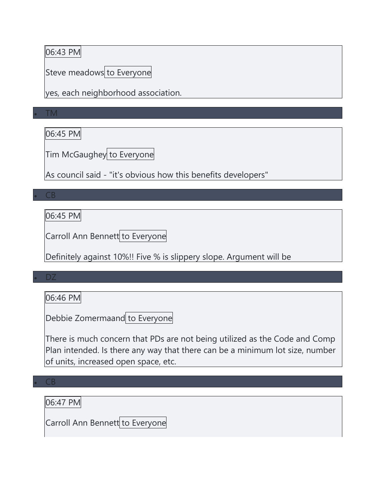### 06:43 PM

Steve meadows to Everyone

yes, each neighborhood association.

• TM

06:45 PM

Tim McGaughey to Everyone

As council said - "it's obvious how this benefits developers"

• CB

06:45 PM

Carroll Ann Bennett to Everyone

Definitely against 10%!! Five % is slippery slope. Argument will be

• DZ

06:46 PM

Debbie Zomermaand to Everyone

There is much concern that PDs are not being utilized as the Code and Comp Plan intended. Is there any way that there can be a minimum lot size, number of units, increased open space, etc.

 $\overline{\mathsf{CB}}$ 

06:47 PM

Carroll Ann Bennett to Everyone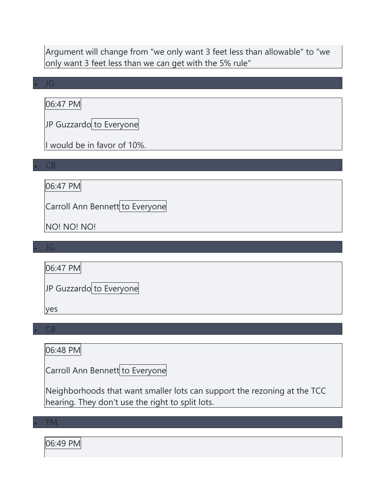Argument will change from "we only want 3 feet less than allowable" to "we only want 3 feet less than we can get with the 5% rule"

#### • JG

06:47 PM

JP Guzzardo to Everyone

I would be in favor of 10%.

• CB

06:47 PM

Carroll Ann Bennett to Everyone

NO! NO! NO!

• JG

06:47 PM

JP Guzzardo to Everyone

yes

• CB

06:48 PM

Carroll Ann Bennett to Everyone

Neighborhoods that want smaller lots can support the rezoning at the TCC hearing. They don't use the right to split lots.

• TM

06:49 PM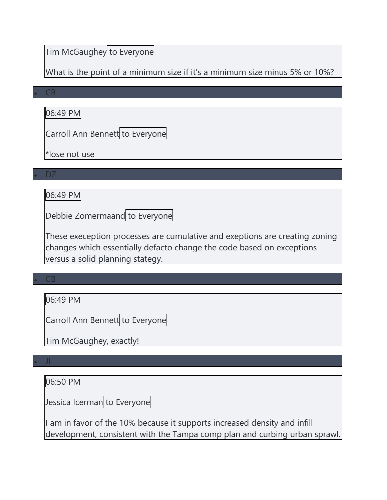# Tim McGaughey to Everyone

What is the point of a minimum size if it's a minimum size minus 5% or 10%?

#### • CB

06:49 PM

Carroll Ann Bennett to Everyone

\*lose not use

• DZ

06:49 PM

Debbie Zomermaand to Everyone

These exeception processes are cumulative and exeptions are creating zoning changes which essentially defacto change the code based on exceptions versus a solid planning stategy.

### • CB

06:49 PM

Carroll Ann Bennett to Everyone

Tim McGaughey, exactly!

#### • JI

06:50 PM

Jessica Icerman to Everyone

I am in favor of the 10% because it supports increased density and infill development, consistent with the Tampa comp plan and curbing urban sprawl.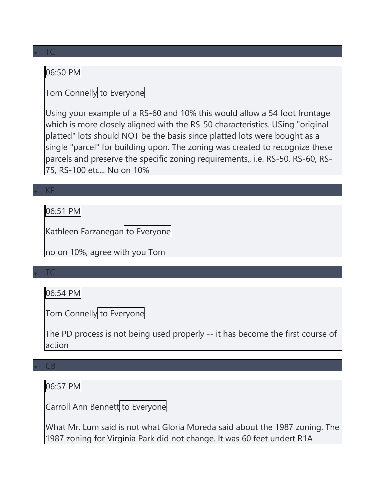### 06:50 PM

# Tom Connelly to Everyone

Using your example of a RS-60 and 10% this would allow a 54 foot frontage which is more closely aligned with the RS-50 characteristics. USing "original platted" lots should NOT be the basis since platted lots were bought as a single "parcel" for building upon. The zoning was created to recognize these parcels and preserve the specific zoning requirements,, i.e. RS-50, RS-60, RS-75, RS-100 etc... No on 10%

#### • KF

06:51 PM

Kathleen Farzanegan to Everyone

no on 10%, agree with you Tom

#### • TC

06:54 PM

Tom Connelly to Everyone

The PD process is not being used properly -- it has become the first course of action

#### • CB

06:57 PM

Carroll Ann Bennett to Everyone

What Mr. Lum said is not what Gloria Moreda said about the 1987 zoning. The 1987 zoning for Virginia Park did not change. It was 60 feet undert R1A

#### • TC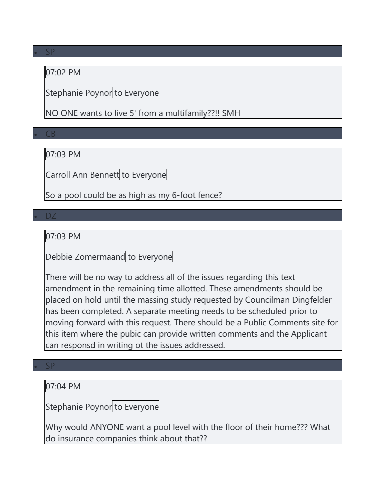### 07:02 PM

Stephanie Poynor to Everyone

NO ONE wants to live 5' from a multifamily??!! SMH

• CB

07:03 PM

Carroll Ann Bennett to Everyone

So a pool could be as high as my 6-foot fence?

#### • DZ

07:03 PM

Debbie Zomermaand to Everyone

There will be no way to address all of the issues regarding this text amendment in the remaining time allotted. These amendments should be placed on hold until the massing study requested by Councilman Dingfelder has been completed. A separate meeting needs to be scheduled prior to moving forward with this request. There should be a Public Comments site for this item where the pubic can provide written comments and the Applicant can responsd in writing ot the issues addressed.

#### • SP

07:04 PM

Stephanie Poynor to Everyone

Why would ANYONE want a pool level with the floor of their home??? What do insurance companies think about that??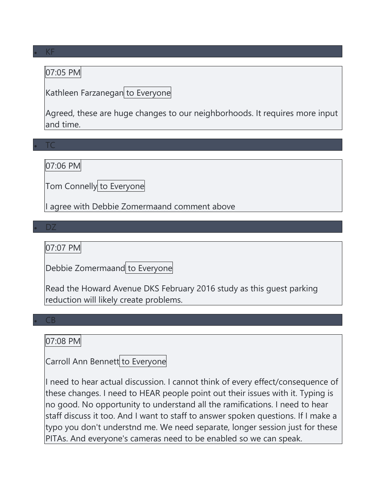### 07:05 PM

Kathleen Farzanegan to Everyone

Agreed, these are huge changes to our neighborhoods. It requires more input and time.

• TC

• DZ

07:06 PM

Tom Connelly to Everyone

I agree with Debbie Zomermaand comment above

07:07 PM

Debbie Zomermaand to Everyone

Read the Howard Avenue DKS February 2016 study as this guest parking reduction will likely create problems.

#### • CB

### 07:08 PM

Carroll Ann Bennett to Everyone

I need to hear actual discussion. I cannot think of every effect/consequence of these changes. I need to HEAR people point out their issues with it. Typing is no good. No opportunity to understand all the ramifications. I need to hear staff discuss it too. And I want to staff to answer spoken questions. If I make a typo you don't understnd me. We need separate, longer session just for these PITAs. And everyone's cameras need to be enabled so we can speak.

#### • KF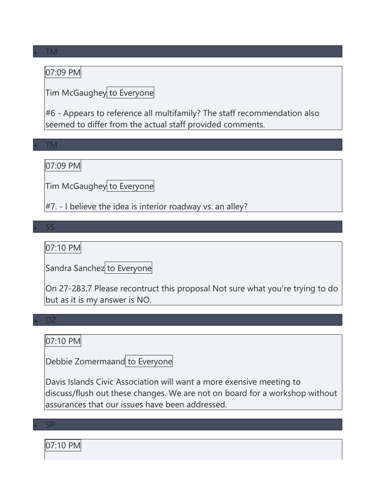### 07:09 PM

Tim McGaughey to Everyone

#6 - Appears to reference all multifamily? The staff recommendation also seemed to differ from the actual staff provided comments.

• TM

07:09 PM

Tim McGaughey to Everyone

 $#7. - I$  believe the idea is interior roadway vs. an alley?

• SS

07:10 PM

Sandra Sanchez to Everyone

On 27-283.7 Please recontruct this proposal Not sure what you're trying to do but as it is my answer is NO.

• DZ

### 07:10 PM

Debbie Zomermaand to Everyone

Davis Islands Civic Association will want a more exensive meeting to discuss/flush out these changes. We are not on board for a workshop without assurances that our issues have been addressed.

• SP

07:10 PM

#### • TM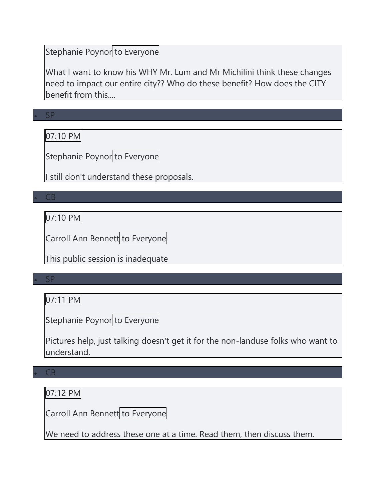# Stephanie Poynor to Everyone

What I want to know his WHY Mr. Lum and Mr Michilini think these changes need to impact our entire city?? Who do these benefit? How does the CITY benefit from this....

• SP 07:10 PM

Stephanie Poynor to Everyone

I still don't understand these proposals.

• CB

07:10 PM

Carroll Ann Bennett to Everyone

This public session is inadequate

• SP

07:11 PM

Stephanie Poynor to Everyone

Pictures help, just talking doesn't get it for the non-landuse folks who want to understand.

### • CB

07:12 PM

Carroll Ann Bennett to Everyone

We need to address these one at a time. Read them, then discuss them.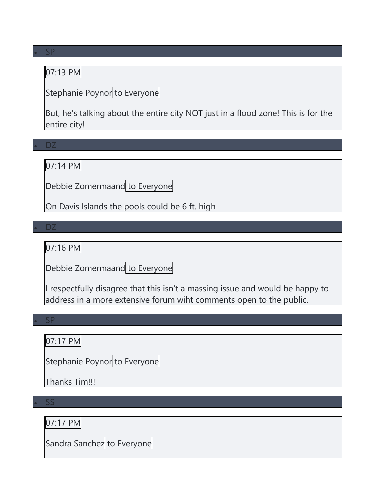### 07:13 PM

Stephanie Poynor to Everyone

But, he's talking about the entire city NOT just in a flood zone! This is for the entire city!

• DZ

07:14 PM

Debbie Zomermaand to Everyone

On Davis Islands the pools could be 6 ft. high

• DZ

07:16 PM

Debbie Zomermaand to Everyone

I respectfully disagree that this isn't a massing issue and would be happy to address in a more extensive forum wiht comments open to the public.

• SP

07:17 PM

Stephanie Poynor to Everyone

Thanks Tim!!!

• SS

07:17 PM

Sandra Sanchez to Everyone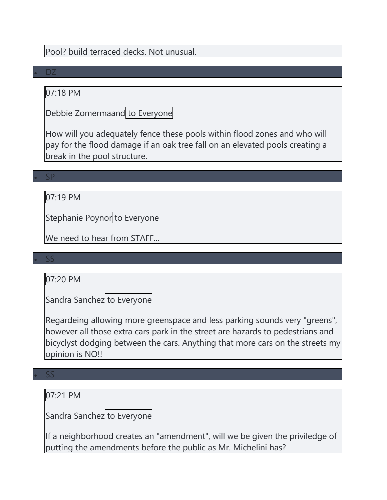Pool? build terraced decks. Not unusual.

#### • DZ

# 07:18 PM

Debbie Zomermaand to Everyone

How will you adequately fence these pools within flood zones and who will pay for the flood damage if an oak tree fall on an elevated pools creating a break in the pool structure.

• SP

### 07:19 PM

Stephanie Poynor to Everyone

We need to hear from STAFF...

#### • SS

### 07:20 PM

Sandra Sanchez to Everyone

Regardeing allowing more greenspace and less parking sounds very "greens", however all those extra cars park in the street are hazards to pedestrians and bicyclyst dodging between the cars. Anything that more cars on the streets my opinion is NO!!

#### • SS

### 07:21 PM

Sandra Sanchez to Everyone

If a neighborhood creates an "amendment", will we be given the priviledge of putting the amendments before the public as Mr. Michelini has?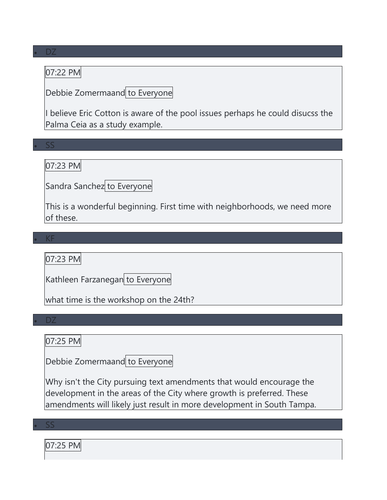### 07:22 PM

Debbie Zomermaand to Everyone

I believe Eric Cotton is aware of the pool issues perhaps he could disucss the Palma Ceia as a study example.

### • SS

07:23 PM

Sandra Sanchez to Everyone

This is a wonderful beginning. First time with neighborhoods, we need more of these.

• KF

07:23 PM

Kathleen Farzanegan to Everyone

what time is the workshop on the 24th?

• DZ

### 07:25 PM

Debbie Zomermaand to Everyone

Why isn't the City pursuing text amendments that would encourage the development in the areas of the City where growth is preferred. These amendments will likely just result in more development in South Tampa.

• SS

07:25 PM

• DZ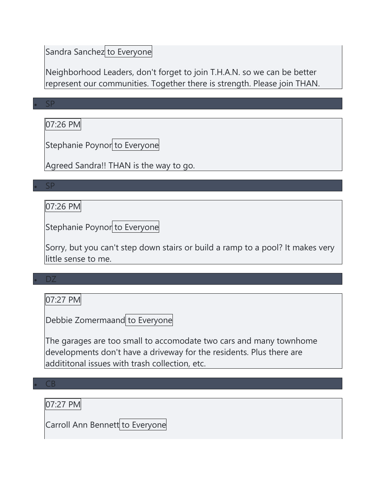### Sandra Sanchez to Everyone

Neighborhood Leaders, don't forget to join T.H.A.N. so we can be better represent our communities. Together there is strength. Please join THAN.

• SP

### 07:26 PM

Stephanie Poynor to Everyone

Agreed Sandra!! THAN is the way to go.

• SP

### 07:26 PM

Stephanie Poynor to Everyone

Sorry, but you can't step down stairs or build a ramp to a pool? It makes very little sense to me.

#### • DZ

07:27 PM

Debbie Zomermaand to Everyone

The garages are too small to accomodate two cars and many townhome developments don't have a driveway for the residents. Plus there are addititonal issues with trash collection, etc.

#### • CB

07:27 PM

Carroll Ann Bennett to Everyone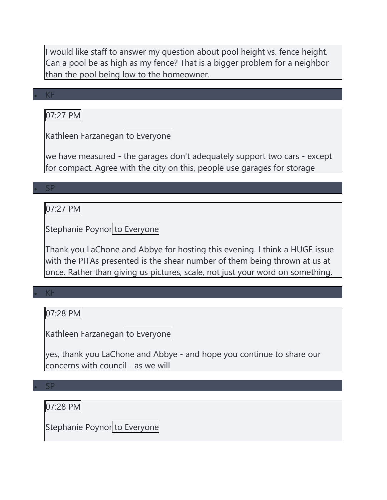I would like staff to answer my question about pool height vs. fence height. Can a pool be as high as my fence? That is a bigger problem for a neighbor than the pool being low to the homeowner.

#### • KF

07:27 PM

Kathleen Farzanegan to Everyone

we have measured - the garages don't adequately support two cars - except for compact. Agree with the city on this, people use garages for storage

• SP

#### 07:27 PM

Stephanie Poynor to Everyone

Thank you LaChone and Abbye for hosting this evening. I think a HUGE issue with the PITAs presented is the shear number of them being thrown at us at once. Rather than giving us pictures, scale, not just your word on something.

### • KF

07:28 PM

Kathleen Farzanegan to Everyone

yes, thank you LaChone and Abbye - and hope you continue to share our concerns with council - as we will

#### • SP

07:28 PM

Stephanie Poynor to Everyone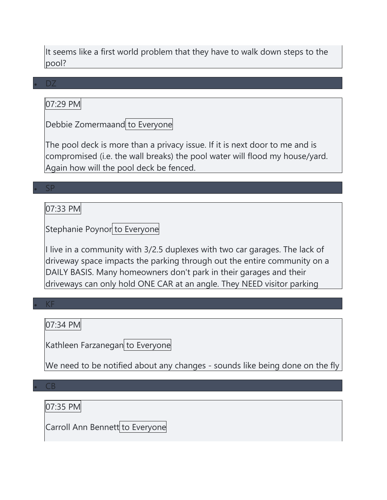It seems like a first world problem that they have to walk down steps to the pool?

#### • DZ

### 07:29 PM

Debbie Zomermaand to Everyone

The pool deck is more than a privacy issue. If it is next door to me and is compromised (i.e. the wall breaks) the pool water will flood my house/yard. Again how will the pool deck be fenced.

#### • SP

#### 07:33 PM

Stephanie Poynor to Everyone

I live in a community with 3/2.5 duplexes with two car garages. The lack of driveway space impacts the parking through out the entire community on a DAILY BASIS. Many homeowners don't park in their garages and their driveways can only hold ONE CAR at an angle. They NEED visitor parking

#### • KF

07:34 PM

Kathleen Farzanegan to Everyone

We need to be notified about any changes - sounds like being done on the fly

#### $CB$

07:35 PM

Carroll Ann Bennett to Everyone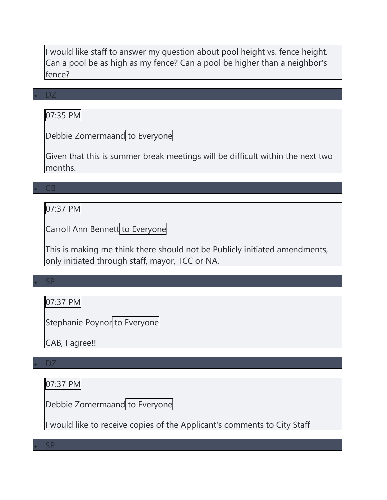I would like staff to answer my question about pool height vs. fence height. Can a pool be as high as my fence? Can a pool be higher than a neighbor's fence?

#### • DZ

07:35 PM

Debbie Zomermaand to Everyone

Given that this is summer break meetings will be difficult within the next two months.

#### • CB

### 07:37 PM

Carroll Ann Bennett to Everyone

This is making me think there should not be Publicly initiated amendments, only initiated through staff, mayor, TCC or NA.

#### • SP

07:37 PM

Stephanie Poynor to Everyone

CAB, I agree!!

#### • DZ

07:37 PM

Debbie Zomermaand to Everyone

I would like to receive copies of the Applicant's comments to City Staff